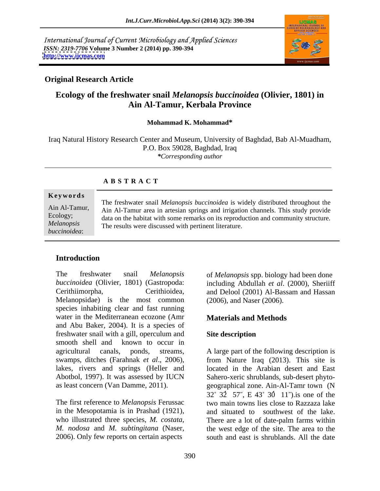International Journal of Current Microbiology and Applied Sciences *ISSN: 2319-7706* **Volume 3 Number 2 (2014) pp. 390-394 <http://www.ijcmas.com>**



## **Original Research Article**

# **Ecology of the freshwater snail** *Melanopsis buccinoidea* **(Olivier, 1801) in Ain Al-Tamur, Kerbala Province**

#### **Mohammad K. Mohammad\***

Iraq Natural History Research Center and Museum, University of Baghdad, Bab Al-Muadham, P.O. Box 59028, Baghdad, Iraq *\*Corresponding author*

#### **A B S T R A C T**

#### **Ke ywo rds**

Ain Al-Tamur, Ain Al-Tamur area in artesian springs and irrigation channels. This study provide Ecology;<br>data on the habitat with some remarks on its reproduction and community structure. *Melanopsis*  The results were discussed with pertinent literature. *buccinoidea*; The freshwater snail *Melanopsis buccinoidea* is widely distributed throughout the

## **Introduction**

The freshwater snail *Melanopsis*  of *Melanopsis* spp. biology had been done *buccinoidea* (Olivier, 1801) (Gastropoda: including Abdullah et al. (2000), Sheriiff<br>Cerithiimorpha, Cerithioidea, and Delool (2001) Al-Bassam and Hassan Melanopsidae) is the most common species inhabiting clear and fast running water in the Mediterranean ecozone (Amr and Abu Baker, 2004). It is a species of freshwater snail with a gill, operculum and Site description smooth shell and known to occur in agricultural canals, ponds, streams, A large part of the following description is swamps, ditches (Farahnak *et al*., 2006), from Nature Iraq (2013). This site is lakes, rivers and springs (Heller and located in the Arabian desert and East Abotbol, 1997). It was assessed by IUCN Sahero-xeric shrublands, sub-desert phyto as least concern (Van Damme, 2011). geographical zone. Ain-Al-Tamr town (N

in the Mesopotamia is in Prashad (1921), 2006). Only few reports on certain aspects

including Abdullah et al. (2000), Sheriiff and Delool (2001) Al-Bassam and Hassan (2006), and Naser (2006).

## **Materials and Methods**

#### **Site description**

The first reference to *Melanopsis* Ferussac two main towns lies close to Razzaza lake who illustrated three species, *M. costata*, There are a lot of date-palm farms within *M. nodosa* and *M. subtingitana* (Naser, the west edge of the site. The area to the from Nature Iraq (2013). This site is located in the Arabian desert and East  $32^{\circ}$   $32^{\circ}$   $57^{\circ}$ , E  $43^{\circ}$   $30^{\circ}$   $11^{\circ}$ ) is one of the and situated to southwest of the lake. south and east is shrublands. All the date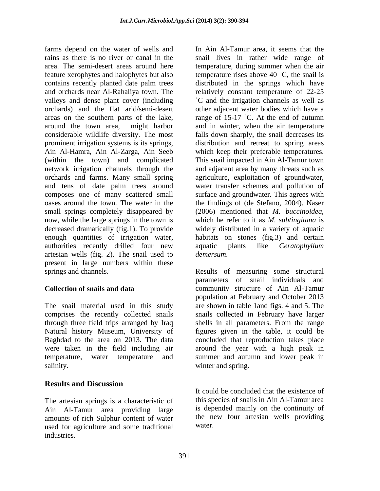farms depend on the water of wells and In Ain Al-Tamur area, it seems that the rains as there is no river or canal in the snail lives in rather wide range of area. The semi-desert areas around here temperature, during summer when the air feature xerophytes and halophytes but also temperature rises above 40 °C, the snail is contains recently planted date palm trees and orchards near Al-Rahaliya town. The valleys and dense plant cover (including  $\degree$  C and the irrigation channels as well as orchards) and the flat arid/semi-desert other adjacent water bodies which have a areas on the southern parts of the lake, range of  $15-17$  °C. At the end of autumn around the town area, might harbor and in winter, when the air temperature considerable wildlife diversity. The most prominent irrigation systems is its springs, distribution and retreat to spring areas Ain Al-Hamra, Ain Al-Zarga, Ain Seeb which keep their preferable temperatures. (within the town) and complicated This snail impacted in Ain Al-Tamur town network irrigation channels through the and adjacent area by many threats such as orchards and farms. Many small spring agriculture, exploitation of groundwater, and tens of date palm trees around water transfer schemes and pollution of composes one of many scattered small surface and groundwater. This agrees with oases around the town. The water in the the findings of (de Stefano, 2004). Naser small springs completely disappeared by (2006) mentioned that *M. buccinoidea*, now, while the large springs in the town is which he refer to it as *M. subtingitana* is decreased dramatically (fig.1). To provide widely distributed in a variety of aquatic decreased dramatically (fig.1). To provide widely distributed in a variety of aquatic enough quantities of irrigation water, authorities recently drilled four new aquatic plants like Ceratophyllum artesian wells (fig. 2). The snail used to *demersum*. present in large numbers within these springs and channels. Results of measuring some structural

The snail material used in this study are shown in table 1and figs. 4 and 5. The comprises the recently collected snails snails collected in February have larger through three field trips arranged by Iraq shells in all parameters. From the range Natural history Museum, University of figures given in the table, it could be Baghdad to the area on 2013. The data concluded that reproduction takes place were taken in the field including air around the year with a high peak in temperature, water temperature and summer and autumn and lower peak in

## **Results and Discussion**

The artesian springs is a characteristic of Ain Al-Tamur area providing large amounts of rich Sulphur content of water used for agriculture and some traditional industries.

distributed in the springs which have relatively constant temperature of 22-25 falls down sharply, the snail decreases its (2006) mentioned that *M. buccinoidea*, which he refer to it as *M. subtingitana* is habitats on stones (fig.3) and certain aquatic plants like *Ceratophyllum* 

**Collection of snails and data** community structure of Ain Al-Tamur salinity. Winter and spring. *demersum*. Results of measuring some structural parameters of snail individuals and population at February and October 2013

> It could be concluded that the existence of this species of snails in Ain Al-Tamur area is depended mainly on the continuity of the new four artesian wells providing water.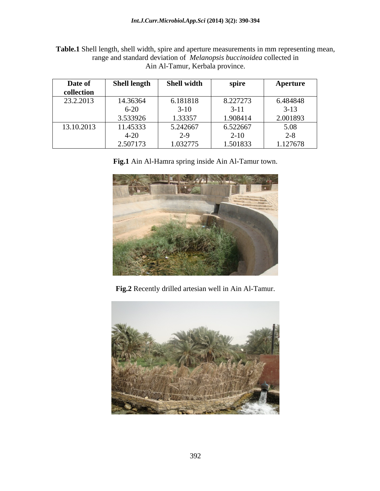| Date of    | <b>Shell length</b>  | <b>Shell width</b>                 | spire    | Aperture |
|------------|----------------------|------------------------------------|----------|----------|
| collection |                      |                                    |          |          |
| 23.2.2013  | 14.36364             | 6.181818                           | 8.227273 | 6.484848 |
|            | $\sim$ 0.0<br>$O-ZU$ | $3-10$                             | $3 - 11$ | $3-13$   |
|            | 3.533926             | 1.33357                            | !.908414 | 2.001893 |
| 13.10.2013 | 11.45333             | 5.242667                           | 6.522667 | 5.08     |
|            | $4 - 20$             | $\sim$ $\sim$<br>/ — 1<br><u>.</u> | $2 - 10$ | $2 - 8$  |
|            | 2.50717              | 1.032775                           | .501833  | .127678  |

**Table.1** Shell length, shell width, spire and aperture measurements in mm representing mean, range and standard deviation of *Melanopsis buccinoidea* collected in Ain Al-Tamur, Kerbala province.

**Fig.1** Ain Al-Hamra spring inside Ain Al-Tamur town.



**Fig.2** Recently drilled artesian well in Ain Al-Tamur.

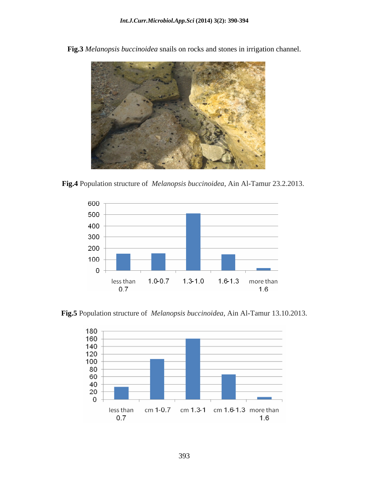

**Fig.3** *Melanopsis buccinoidea* snails on rocks and stones in irrigation channel.

**Fig.4** Population structure of *Melanopsis buccinoidea*, Ain Al-Tamur 23.2.2013.



**Fig.5** Population structure of *Melanopsis buccinoidea*, Ain Al-Tamur 13.10.2013.